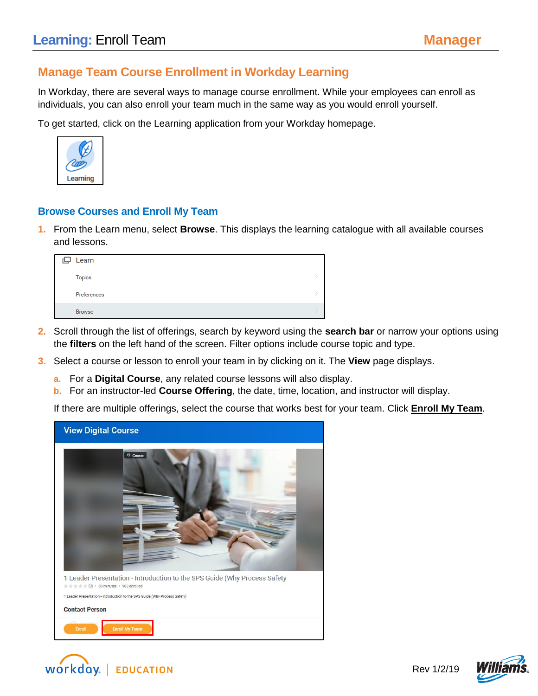### **Manage Team Course Enrollment in Workday Learning**

In Workday, there are several ways to manage course enrollment. While your employees can enroll as individuals, you can also enroll your team much in the same way as you would enroll yourself.

To get started, click on the Learning application from your Workday homepage.



#### **Browse Courses and Enroll My Team**

**1.** From the Learn menu, select **Browse**. This displays the learning catalogue with all available courses and lessons.

| ロ | Learn         |  |
|---|---------------|--|
|   | <b>Topics</b> |  |
|   | Preferences   |  |
|   | <b>Browse</b> |  |

- **2.** Scroll through the list of offerings, search by keyword using the **search bar** or narrow your options using the **filters** on the left hand of the screen. Filter options include course topic and type.
- **3.** Select a course or lesson to enroll your team in by clicking on it. The **View** page displays.
	- **a.** For a **Digital Course**, any related course lessons will also display.
	- **b.** For an instructor-led **Course Offering**, the date, time, location, and instructor will display.

If there are multiple offerings, select the course that works best for your team. Click **Enroll My Team**.





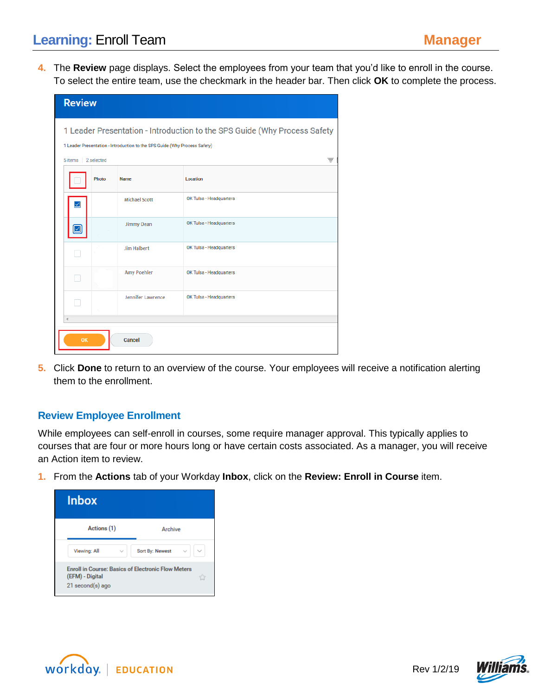# **Learning: Enroll Team <b>Manager Manager**

**4.** The **Review** page displays. Select the employees from your team that you'd like to enroll in the course. To select the entire team, use the checkmark in the header bar. Then click **OK** to complete the process.

| <b>Review</b>                                                              |                      |                         |  |  |  |  |
|----------------------------------------------------------------------------|----------------------|-------------------------|--|--|--|--|
| 1 Leader Presentation - Introduction to the SPS Guide (Why Process Safety  |                      |                         |  |  |  |  |
| 1 Leader Presentation - Introduction to the SPS Guide (Why Process Safety) |                      |                         |  |  |  |  |
| 5 items                                                                    | 2 selected<br>₹      |                         |  |  |  |  |
| Photo                                                                      | <b>Name</b>          | <b>Location</b>         |  |  |  |  |
| ⊻                                                                          | <b>Michael Scott</b> | OK Tulsa - Headquarters |  |  |  |  |
|                                                                            | Jimmy Dean           | OK Tulsa - Headquarters |  |  |  |  |
|                                                                            | <b>Jim Halbert</b>   | OK Tulsa - Headquarters |  |  |  |  |
|                                                                            | <b>Amy Poehler</b>   | OK Tulsa - Headquarters |  |  |  |  |
|                                                                            | Jennifer Lawrence    | OK Tulsa - Headquarters |  |  |  |  |
|                                                                            |                      |                         |  |  |  |  |
| OK<br>Cancel                                                               |                      |                         |  |  |  |  |

**5.** Click **Done** to return to an overview of the course. Your employees will receive a notification alerting them to the enrollment.

#### **Review Employee Enrollment**

While employees can self-enroll in courses, some require manager approval. This typically applies to courses that are four or more hours long or have certain costs associated. As a manager, you will receive an Action item to review.

**1.** From the **Actions** tab of your Workday **Inbox**, click on the **Review: Enroll in Course** item.

| <b>Inbox</b>                                                                                     |                                 |
|--------------------------------------------------------------------------------------------------|---------------------------------|
| Actions (1)                                                                                      | Archive                         |
| Viewing: All<br>$\checkmark$                                                                     | $\checkmark$<br>Sort By: Newest |
| <b>Enroll in Course: Basics of Electronic Flow Meters</b><br>(EFM) - Digital<br>21 second(s) ago |                                 |